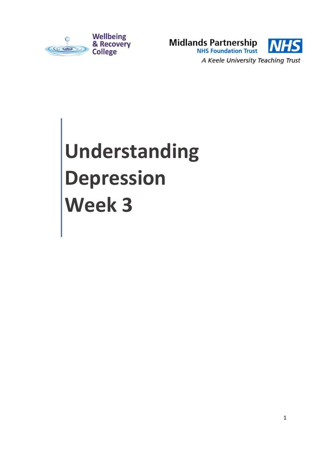



# **Understanding Depression Week 3**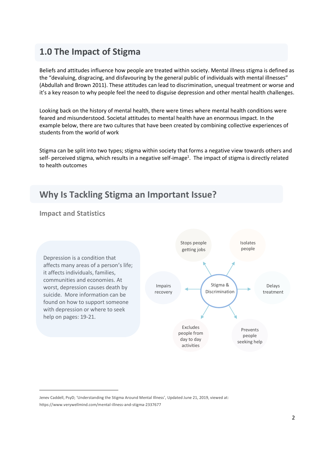### **1.0 The Impact of Stigma**

Beliefs and attitudes influence how people are treated within society. Mental illness stigma is defined as the "devaluing, disgracing, and disfavouring by the general public of individuals with mental illnesses" (Abdullah and Brown 2011). These attitudes can lead to discrimination, unequal treatment or worse and it's a key reason to why people feel the need to disguise depression and other mental health challenges.

Looking back on the history of mental health, there were times where mental health conditions were feared and misunderstood. Societal attitudes to mental health have an enormous impact. In the example below, there are two cultures that have been created by combining collective experiences of students from the world of work

Stigma can be split into two types; stigma within society that forms a negative view towards others and self- perceived stigma, which results in a negative self-image<sup>1</sup>. The impact of stigma is directly related to health outcomes

## **Why Is Tackling Stigma an Important Issue?**

#### **Impact and Statistics**

-

Depression is a condition that affects many areas of a person's life; it affects individuals, families, communities and economies. At worst, depression causes death by suicide. More information can be found on how to support someone with depression or where to seek help on pages: 19-21.



[Jenev Caddell, PsyD](https://www.verywellmind.com/jenev-caddell-2330383); 'Understanding the Stigma Around Mental Illness', Updated June 21, 2019, viewed at: <https://www.verywellmind.com/mental-illness-and-stigma-2337677>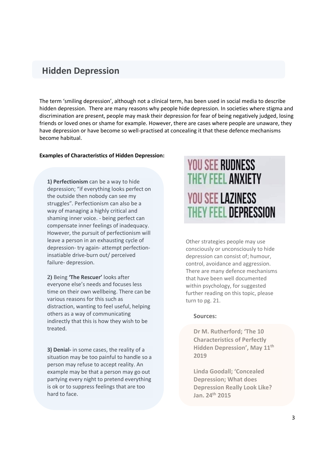#### **Hidden Depression**

The term 'smiling depression', although not a clinical term, has been used in social media to describe hidden depression. There are many reasons why people hide depression. In societies where stigma and discrimination are present, people may mask their depression for fear of being negatively judged, losing friends or loved ones or shame for example. However, there are cases where people are unaware, they have depression or have become so well-practised at concealing it that these defence mechanisms become habitual.

#### **Examples of Characteristics of Hidden Depression:**

**1) Perfectionism** can be a way to hide depression; "if everything looks perfect on the outside then nobody can see my struggles". Perfectionism can also be a way of managing a highly critical and shaming inner voice. - being perfect can compensate inner feelings of inadequacy. However, the pursuit of perfectionism will leave a person in an exhausting cycle of depression- try again- attempt perfectioninsatiable drive-burn out/ perceived failure- depression.

**2)** Being **'The Rescuer'** looks after everyone else's needs and focuses less time on their own wellbeing. There can be various reasons for this such as distraction, wanting to feel useful, helping others as a way of communicating indirectly that this is how they wish to be treated.

**3) Denial-** in some cases, the reality of a situation may be too painful to handle so a person may refuse to accept reality. An example may be that a person may go out partying every night to pretend everything is ok or to suppress feelings that are too hard to face.

# **YOU SEE RUDNESS** THEY FEEL ANXIETY **YOU SEE LAZINESS** THEY FEEL DEPRESSION

Other strategies people may use consciously or unconsciously to hide depression can consist of; humour, control, avoidance and aggression. There are many defence mechanisms that have been well documented within psychology, for suggested further reading on this topic, please turn to pg. 21.

#### **Sources:**

**Dr M. Rutherford; 'The 10 Characteristics of Perfectly Hidden Depression', May 11th 2019**

**Linda Goodall; 'Concealed Depression; What does Depression Really Look Like? Jan. 24th 2015**